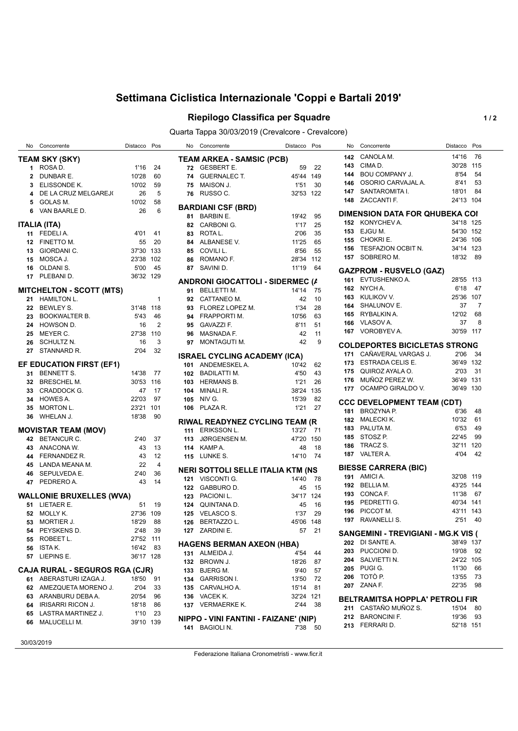## **Settimana Ciclistica Internazionale 'Coppi e Bartali 2019'**

## **Riepilogo Classifica per Squadre 1/2**

Quarta Tappa 30/03/2019 (Crevalcore - Crevalcore)

|     | No Concorrente                        | Distacco Pos |                |     | No Concorrente                           | Distacco Pos |       | No. | Concorrente                                | Distacco Pos |      |
|-----|---------------------------------------|--------------|----------------|-----|------------------------------------------|--------------|-------|-----|--------------------------------------------|--------------|------|
|     | <b>TEAM SKY (SKY)</b>                 |              |                |     | <b>TEAM ARKEA - SAMSIC (PCB)</b>         |              |       | 142 | CANOLA M.                                  | 14'16        | - 76 |
|     | 1 ROSAD.                              | 1'16         | 24             |     | 72 GESBERT E.                            | 59           | 22    | 143 | CIMA D.                                    | 30'28 115    |      |
|     | DUNBAR E.                             | 10'28        | 60             |     | 74 GUERNALEC T.                          | 45'44 149    |       | 144 | <b>BOU COMPANY J.</b>                      | 8'54         | 54   |
| 3   | ELISSONDE K.                          | 10'02        | 59             | 75  | MAISON J.                                | 1'51         | 30    | 146 | OSORIO CARVAJAL A.                         | 8'41         | 53   |
|     | DE LA CRUZ MELGAREJ(                  | 26           | 5              | 76  | RUSSO C.                                 | 32'53 122    |       | 147 | SANTAROMITA I.                             | 18'01        | 84   |
| 4   |                                       |              |                |     |                                          |              |       | 148 | ZACCANTI F.                                | 24'13 104    |      |
| 5   | GOLAS M.                              | 10'02        | 58             |     | <b>BARDIANI CSF (BRD)</b>                |              |       |     |                                            |              |      |
| 6   | VAN BAARLE D.                         | 26           | 6              | 81  | <b>BARBIN E.</b>                         | 19'42        | 95    |     | <b>DIMENSION DATA FOR QHUBEKA COI</b>      |              |      |
|     |                                       |              |                |     | CARBONI G.                               | 1'17         | 25    | 152 | KONYCHEV A.                                | 34'18 125    |      |
|     | <b>ITALIA (ITA)</b>                   |              |                | 82  |                                          |              |       | 153 | EJGU M.                                    | 54'30 152    |      |
| 11  | FEDELI A.                             | 4'01         | -41            | 83  | ROTA L.                                  | 2'06         | 35    | 155 | CHOKRI E.                                  | 24'36 106    |      |
| 12  | FINETTO M.                            | 55           | 20             | 84  | ALBANESE V.                              | 11'25        | 65    |     |                                            |              |      |
| 13  | GIORDANI C.                           | 37'30 133    |                | 85  | COVILI L.                                | 8'56         | 55    | 156 | TESFAZION OCBIT N.                         | 34'14 123    |      |
| 15  | MOSCA J.                              | 23'38 102    |                | 86  | ROMANO F.                                | 28'34 112    |       | 157 | SOBRERO M.                                 | 18'32        | - 89 |
| 16  | OLDANI S.                             | 5'00         | 45             | 87  | SAVINI D.                                | 11'19        | 64    |     |                                            |              |      |
| 17  | PLEBANI D.                            | 36'32 129    |                |     |                                          |              |       |     | <b>GAZPROM - RUSVELO (GAZ)</b>             |              |      |
|     |                                       |              |                |     | <b>ANDRONI GIOCATTOLI - SIDERMEC (A</b>  |              |       | 161 | EVTUSHENKO A.                              | 28'55 113    |      |
|     | <b>MITCHELTON - SCOTT (MTS)</b>       |              |                |     | 91 BELLETTI M.                           | 14'14 75     |       | 162 | NYCH A.                                    | 6'18         | - 47 |
| 21  | HAMILTON L.                           |              | $\mathbf{1}$   |     | 92 CATTANEO M.                           | 42           | 10    | 163 | KULIKOV V.                                 | 25'36 107    |      |
| 22  | <b>BEWLEY S.</b>                      | 31'48 118    |                | 93  | FLOREZ LOPEZ M.                          | 1'34         | 28    | 164 | SHALUNOV E.                                | 37           | 7    |
|     | BOOKWALTER B.                         | 5'43         | 46             | 94  | FRAPPORTI M.                             | 10'56        | 63    | 165 | RYBALKIN A.                                | 12'02        | 68   |
| 24  | HOWSON D.                             | 16           | $\overline{2}$ | 95  | <b>GAVAZZI F.</b>                        | 8'11         | 51    | 166 | VLASOV A.                                  | 37           | 8    |
| 25  | MEYER C.                              | 27'38        | 110            | 96  | <b>MASNADA F.</b>                        | 42           | 11    | 167 | VOROBYEV A.                                | 30'59 117    |      |
|     |                                       |              |                |     |                                          |              |       |     |                                            |              |      |
| 26  | SCHULTZ N.                            | 16           | 3              | 97  | MONTAGUTI M.                             | 42           | 9     |     | <b>COLDEPORTES BICICLETAS STRONG</b>       |              |      |
| 27  | STANNARD R.                           | 2'04         | 32             |     | <b>ISRAEL CYCLING ACADEMY (ICA)</b>      |              |       | 171 | CAÑAVERAL VARGAS J.                        | 2'06 34      |      |
|     | EF EDUCATION FIRST (EF1)              |              |                |     | 101 ANDEMESKEL A.                        | 10'42 62     |       | 173 | ESTRADA CELIS E.                           | 36'49 132    |      |
|     |                                       |              |                |     |                                          |              |       | 175 | QUIROZ AYALA O.                            | 2'03         | - 31 |
| 31  | <b>BENNETT S.</b>                     | 14'38 77     |                | 102 | BADILATTI M.                             | 4'50         | 43    | 176 | MUÑOZ PEREZ W.                             | 36'49 131    |      |
| 32  | <b>BRESCHEL M.</b>                    | 30'53 116    |                | 103 | <b>HERMANS B.</b>                        | 1'21         | 26    |     |                                            | 36'49 130    |      |
|     | CRADDOCK G.                           | 47           | 17             | 104 | MINALI R.                                | 38'24 135    |       | 177 | OCAMPO GIRALDO V.                          |              |      |
| 34  | HOWES A.                              | 22'03        | 97             | 105 | NIV G.                                   | 15'39        | 82    |     | <b>CCC DEVELOPMENT TEAM (CDT)</b>          |              |      |
| 35  | MORTON L.                             | 23'21 101    |                | 106 | PLAZA R.                                 | 1'21         | 27    | 181 | BROZYNA P.                                 | 6'36         | - 48 |
| 36  | WHELAN J.                             | 18'38        | 90             |     |                                          |              |       |     |                                            |              |      |
|     |                                       |              |                |     | RIWAL READYNEZ CYCLING TEAM (R           |              |       | 182 | MALECKI K.                                 | 10'32        | 61   |
|     | <b>MOVISTAR TEAM (MOV)</b>            |              |                | 111 | <b>ERIKSSON L.</b>                       | 13'27 71     |       | 183 | PALUTA M.                                  | 6'53         | 49   |
| 42  | BETANCUR C.                           | 2'40         | -37            | 113 | JØRGENSEN M.                             | 47'20 150    |       | 185 | STOSZ P.                                   | 22'45        | 99   |
| 43  | ANACONA W.                            | 43           | 13             | 114 | KAMP A.                                  | 48           | 18    | 186 | TRACZ S.                                   | 32'11 120    |      |
| 44  | FERNANDEZ R.                          | 43           | 12             |     | <b>115 LUNKE S.</b>                      | 14'10        | - 74  |     | 187 VALTER A.                              | 4'04         | 42   |
| 45  | LANDA MEANA M.                        | 22           | 4              |     |                                          |              |       |     |                                            |              |      |
| 46. | SEPULVEDA E.                          | 2'40         | 36             |     | <b>NERI SOTTOLI SELLE ITALIA KTM (NS</b> |              |       |     | <b>BIESSE CARRERA (BIC)</b>                |              |      |
| 47  | PEDRERO A.                            | 43           | 14             |     | 121 VISCONTI G.                          | 14'40 78     |       |     | 191 AMICIA.                                | 32'08 119    |      |
|     |                                       |              |                | 122 | GABBURO D.                               | 45           | 15    | 192 | BELLIA M.                                  | 43'25 144    |      |
|     | <b>WALLONIE BRUXELLES (WVA)</b>       |              |                | 123 | PACIONI L.                               | 34'17 124    |       | 193 | CONCA F.                                   | 11'38        | - 67 |
|     | 51 LIETAER E.                         |              | 51 19          | 124 | QUINTANA D.                              | 45           | 16    | 195 | PEDRETTI G.                                | 40'34 141    |      |
| 52  | MOLLY K.                              | 27'36 109    |                | 125 | VELASCO S.                               | 1'37         | 29    | 196 | PICCOT M.                                  | 43'11 143    |      |
|     | 53 MORTIER J.                         | 18'29        | 88             | 126 | <b>BERTAZZO L.</b>                       | 45'06 148    |       | 197 | RAVANELLI S.                               | 2'51         | -40  |
|     | 54 PEYSKENS D.                        |              |                |     |                                          |              |       |     |                                            |              |      |
|     |                                       | 2'48 39      |                |     | 127 ZARDINI E.                           |              | 57 21 |     | <b>SANGEMINI - TREVIGIANI - MG.K VIS (</b> |              |      |
|     | 55 ROBEET L.                          | 27'52 111    |                |     | <b>HAGENS BERMAN AXEON (HBA)</b>         |              |       |     | 202 DI SANTE A.                            | 38'49 137    |      |
|     | <b>56</b> ISTAK.                      | 16'42 83     |                |     | 131 ALMEIDA J.                           | 4'54 44      |       | 203 | PUCCIONI D.                                | 19'08 92     |      |
|     | 57 LIEPINS E.                         | 36'17 128    |                |     |                                          |              |       |     | 204 SALVIETTI N.                           | 24'22 105    |      |
|     |                                       |              |                |     | 132 BROWN J.                             | 18'26 87     |       | 205 | PUGI G.                                    | 11'30 66     |      |
|     | <b>CAJA RURAL - SEGUROS RGA (CJR)</b> |              |                |     | 133 BJERG M.                             | 9'40 57      |       |     |                                            |              |      |
|     | 61 ABERASTURI IZAGA J.                | 18'50 91     |                |     | 134 GARRISON I.                          | 13'50 72     |       | 206 | TOTÒ P.                                    | 13'55 73     |      |
|     | 62 AMEZQUETA MORENO J.                | 2'04         | 33             |     | 135 CARVALHO A.                          | 15'14 81     |       |     | 207 ZANA F.                                | 22'35 98     |      |
|     | 63 ARANBURU DEBAA.                    | 20'54        | 96             |     | 136 VACEK K.                             | 32'24 121    |       |     | BELTRAMITSA HOPPLA' PETROLI FIR            |              |      |
|     | 64 IRISARRI RICON J.                  | 18'18        | 86             |     | 137 VERMAERKE K.                         | 2'44 38      |       |     | 211 CASTAÑO MUÑOZ S.                       |              |      |
|     | 65 LASTRA MARTINEZ J.                 | 1'10 23      |                |     |                                          |              |       |     |                                            | 15'04 80     |      |
|     | 66 MALUCELLI M.                       | 39'10 139    |                |     | NIPPO - VINI FANTINI - FAIZANE' (NIP)    |              |       |     | 212 BARONCINI F.                           | 19'36 93     |      |
|     |                                       |              |                |     | 141 BAGIOLI N.                           | 7'38 50      |       |     | 213 FERRARI D.                             | 52'18 151    |      |
|     |                                       |              |                |     |                                          |              |       |     |                                            |              |      |

30/03/2019

Federazione Italiana Cronometristi - www.ficr.it